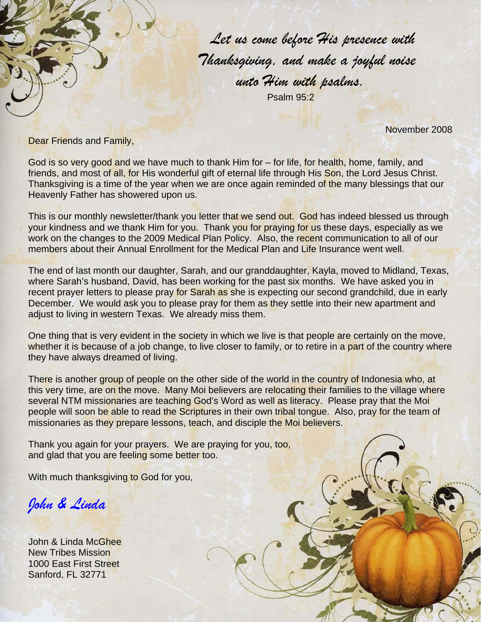*Let us come before His presence with Thanksgiving, and make a joyful noise unto Him with psalms.*  Psalm 95:2

November 2008

Dear Friends and Family,

God is so very good and we have much to thank Him for – for life, for health, home, family, and friends, and most of all, for His wonderful gift of eternal life through His Son, the Lord Jesus Christ. Thanksgiving is a time of the year when we are once again reminded of the many blessings that our Heavenly Father has showered upon us.

This is our monthly newsletter/thank you letter that we send out. God has indeed blessed us through your kindness and we thank Him for you. Thank you for praying for us these days, especially as we work on the changes to the 2009 Medical Plan Policy. Also, the recent communication to all of our members about their Annual Enrollment for the Medical Plan and Life Insurance went well.

The end of last month our daughter, Sarah, and our granddaughter, Kayla, moved to Midland, Texas, where Sarah's husband, David, has been working for the past six months. We have asked you in recent prayer letters to please pray for Sarah as she is expecting our second grandchild, due in early December. We would ask you to please pray for them as they settle into their new apartment and adjust to living in western Texas. We already miss them.

One thing that is very evident in the society in which we live is that people are certainly on the move, whether it is because of a job change, to live closer to family, or to retire in a part of the country where they have always dreamed of living.

There is another group of people on the other side of the world in the country of Indonesia who, at this very time, are on the move. Many Moi believers are relocating their families to the village where several NTM missionaries are teaching God's Word as well as literacy. Please pray that the Moi people will soon be able to read the Scriptures in their own tribal tongue. Also, pray for the team of missionaries as they prepare lessons, teach, and disciple the Moi believers.

Thank you again for your prayers. We are praying for you, too, and glad that you are feeling some better too.

With much thanksgiving to God for you,

*John & Linda* 

John & Linda McGhee New Tribes Mission 1000 East First Street Sanford, FL 32771